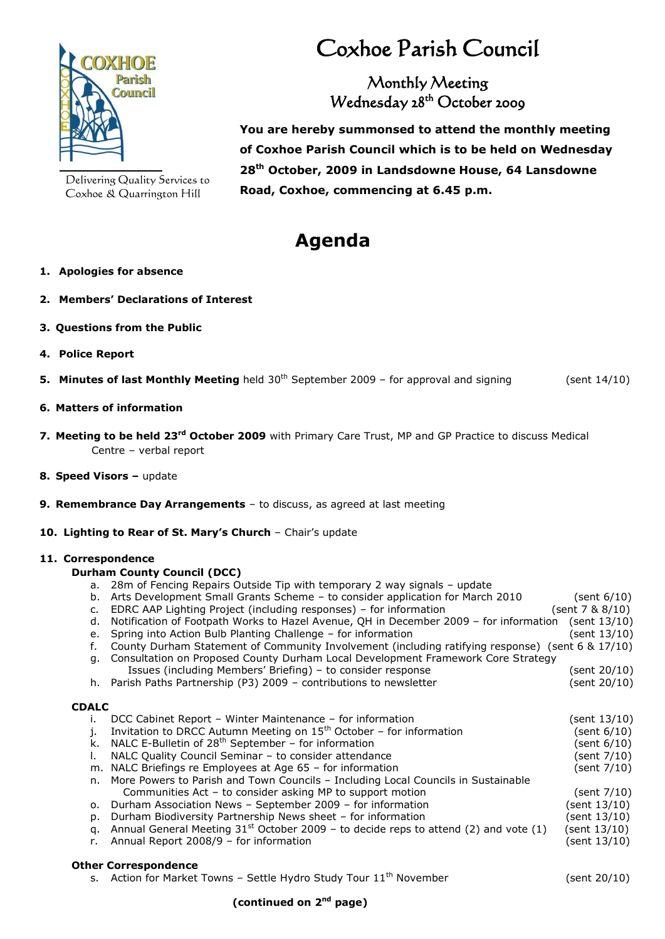

Delivering Quality Services to Coxhoe & Quarrington Hill

# Coxhoe Parish Council

### Monthly Meeting Wednesday 28th October 2009

**You are hereby summonsed to attend the monthly meeting of Coxhoe Parish Council which is to be held on Wednesday 28th October, 2009 in Landsdowne House, 64 Lansdowne Road, Coxhoe, commencing at 6.45 p.m.**

## **Agenda**

#### **1. Apologies for absence**

- **2. Members' Declarations of Interest**
- **3. Questions from the Public**
- **4. Police Report**
- **5. Minutes of last Monthly Meeting** held 30<sup>th</sup> September 2009 for approval and signing (sent 14/10)

#### **6. Matters of information**

- **7. Meeting to be held 23<sup>rd</sup> October 2009** with Primary Care Trust, MP and GP Practice to discuss Medical Centre – verbal report
- **8. Speed Visors –** update
- **9. Remembrance Day Arrangements** to discuss, as agreed at last meeting
- **10. Lighting to Rear of St. Mary's Church** Chair's update

#### **11. Correspondence**

#### **Durham County Council (DCC)**

- a. 28m of Fencing Repairs Outside Tip with temporary 2 way signals update
- b. Arts Development Small Grants Scheme to consider application for March 2010 (sent 6/10)
- c. EDRC AAP Lighting Project (including responses) for information (sent 7 & 8/10)
- d. Notification of Footpath Works to Hazel Avenue, QH in December 2009 for information (sent 13/10)
- e. Spring into Action Bulb Planting Challenge for information (sent 13/10)
- f. County Durham Statement of Community Involvement (including ratifying response) (sent 6 & 17/10)
- g. Consultation on Proposed County Durham Local Development Framework Core Strategy Issues (including Members' Briefing) – to consider response (sent 20/10)
- h. Parish Paths Partnership (P3) 2009 contributions to newsletter (sent 20/10)

#### **CDALC**

|    | DCC Cabinet Report - Winter Maintenance - for information                                    | (sent 13/10)   |
|----|----------------------------------------------------------------------------------------------|----------------|
|    | Invitation to DRCC Autumn Meeting on $15th$ October – for information                        | (sent 6/10)    |
|    | k. NALC E-Bulletin of $28th$ September – for information                                     | (sent 6/10)    |
|    | NALC Quality Council Seminar - to consider attendance                                        | (sent 7/10)    |
|    | m. NALC Briefings re Employees at Age 65 - for information                                   | (sent 7/10)    |
|    | n. More Powers to Parish and Town Councils - Including Local Councils in Sustainable         |                |
|    | Communities Act - to consider asking MP to support motion                                    | (sent $7/10$ ) |
|    | o. Durham Association News - September 2009 - for information                                | (sent 13/10)   |
| D. | Durham Biodiversity Partnership News sheet - for information                                 | (sent 13/10)   |
|    | q. Annual General Meeting $31^{st}$ October 2009 - to decide reps to attend (2) and vote (1) | (sent 13/10)   |
|    | Annual Report 2008/9 - for information                                                       | (sent 13/10)   |

#### **Other Correspondence**

s. Action for Market Towns - Settle Hydro Study Tour  $11<sup>th</sup>$  November (sent 20/10)